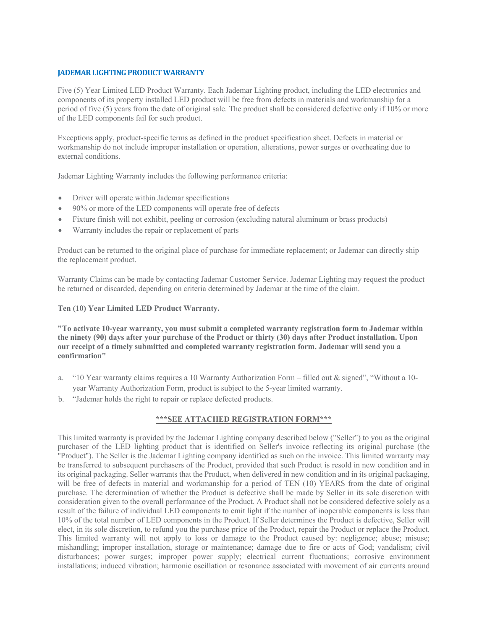#### **JADEMAR LIGHTING PRODUCT WARRANTY**

Five (5) Year Limited LED Product Warranty. Each Jademar Lighting product, including the LED electronics and components of its property installed LED product will be free from defects in materials and workmanship for a period of five (5) years from the date of original sale. The product shall be considered defective only if 10% or more of the LED components fail for such product.

Exceptions apply, product-specific terms as defined in the product specification sheet. Defects in material or workmanship do not include improper installation or operation, alterations, power surges or overheating due to external conditions.

Jademar Lighting Warranty includes the following performance criteria:

- Driver will operate within Jademar specifications
- 90% or more of the LED components will operate free of defects
- Fixture finish will not exhibit, peeling or corrosion (excluding natural aluminum or brass products)
- Warranty includes the repair or replacement of parts

Product can be returned to the original place of purchase for immediate replacement; or Jademar can directly ship the replacement product.

Warranty Claims can be made by contacting Jademar Customer Service. Jademar Lighting may request the product be returned or discarded, depending on criteria determined by Jademar at the time of the claim.

#### **Ten (10) Year Limited LED Product Warranty.**

**"To activate 10-year warranty, you must submit a completed warranty registration form to Jademar within the ninety (90) days after your purchase of the Product or thirty (30) days after Product installation. Upon our receipt of a timely submitted and completed warranty registration form, Jademar will send you a confirmation"**

- a. "10 Year warranty claims requires a 10 Warranty Authorization Form filled out & signed", "Without a 10 year Warranty Authorization Form, product is subject to the 5-year limited warranty.
- b. "Jademar holds the right to repair or replace defected products.

#### **\*\*\*SEE ATTACHED REGISTRATION FORM\*\*\***

This limited warranty is provided by the Jademar Lighting company described below ("Seller") to you as the original purchaser of the LED lighting product that is identified on Seller's invoice reflecting its original purchase (the "Product"). The Seller is the Jademar Lighting company identified as such on the invoice. This limited warranty may be transferred to subsequent purchasers of the Product, provided that such Product is resold in new condition and in its original packaging. Seller warrants that the Product, when delivered in new condition and in its original packaging, will be free of defects in material and workmanship for a period of TEN (10) YEARS from the date of original purchase. The determination of whether the Product is defective shall be made by Seller in its sole discretion with consideration given to the overall performance of the Product. A Product shall not be considered defective solely as a result of the failure of individual LED components to emit light if the number of inoperable components is less than 10% of the total number of LED components in the Product. If Seller determines the Product is defective, Seller will elect, in its sole discretion, to refund you the purchase price of the Product, repair the Product or replace the Product. This limited warranty will not apply to loss or damage to the Product caused by: negligence; abuse; misuse; mishandling; improper installation, storage or maintenance; damage due to fire or acts of God; vandalism; civil disturbances; power surges; improper power supply; electrical current fluctuations; corrosive environment installations; induced vibration; harmonic oscillation or resonance associated with movement of air currents around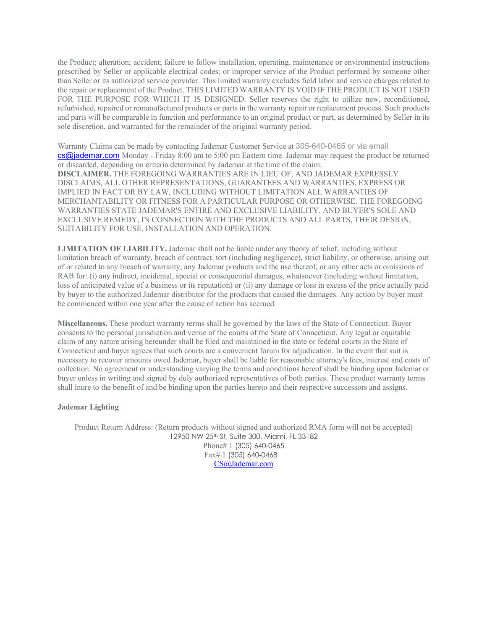the Product; alteration; accident; failure to follow installation, operating, maintenance or environmental instructions prescribed by Seller or applicable electrical codes; or improper service of the Product performed by someone other than Seller or its authorized service provider. This limited warranty excludes field labor and service charges related to the repair or replacement of the Product. THIS LIMITED WARRANTY IS VOID IF THE PRODUCT IS NOT USED FOR THE PURPOSE FOR WHICH IT IS DESIGNED. Seller reserves the right to utilize new, reconditioned, refurbished, repaired or remanufactured products or parts in the warranty repair or replacement process. Such products and parts will be comparable in function and performance to an original product or part, as determined by Seller in its sole discretion, and warranted for the remainder of the original warranty period.

Warranty Claims can be made by contacting Jademar Customer Service at 305-640-0465 or via email cs@jademar.com Monday - Friday 8:00 am to 5:00 pm Eastern time. Jademar may request the product be returned or discarded, depending on criteria determined by Jademar at the time of the claim. **DISCLAIMER.** THE FOREGOING WARRANTIES ARE IN LIEU OF, AND JADEMAR EXPRESSLY DISCLAIMS, ALL OTHER REPRESENTATIONS, GUARANTEES AND WARRANTIES, EXPRESS OR IMPLIED IN FACT OR BY LAW, INCLUDING WITHOUT LIMITATION ALL WARRANTIES OF MERCHANTABILITY OR FITNESS FOR A PARTICULAR PURPOSE OR OTHERWISE. THE FOREGOING WARRANTIES STATE JADEMAR'S ENTIRE AND EXCLUSIVE LIABILITY, AND BUYER'S SOLE AND EXCLUSIVE REMEDY, IN CONNECTION WITH THE PRODUCTS AND ALL PARTS, THEIR DESIGN, SUITABILITY FOR USE, INSTALLATION AND OPERATION.

**LIMITATION OF LIABILITY.** Jademar shall not be liable under any theory of relief, including without limitation breach of warranty, breach of contract, tort (including negligence), strict liability, or otherwise, arising out of or related to any breach of warranty, any Jademar products and the use thereof, or any other acts or omissions of RAB for: (i) any indirect, incidental, special or consequential damages, whatsoever (including without limitation, loss of anticipated value of a business or its reputation) or (ii) any damage or loss in excess of the price actually paid by buyer to the authorized Jademar distributor for the products that caused the damages. Any action by buyer must be commenced within one year after the cause of action has accrued.

**Miscellaneous.** These product warranty terms shall be governed by the laws of the State of Connecticut. Buyer consents to the personal jurisdiction and venue of the courts of the State of Connecticut. Any legal or equitable claim of any nature arising hereunder shall be filed and maintained in the state or federal courts in the State of Connecticut and buyer agrees that such courts are a convenient forum for adjudication. In the event that suit is necessary to recover amounts owed Jademar, buyer shall be liable for reasonable attorney's fees, interest and costs of collection. No agreement or understanding varying the terms and conditions hereof shall be binding upon Jademar or buyer unless in writing and signed by duly authorized representatives of both parties. These product warranty terms shall inure to the benefit of and be binding upon the parties hereto and their respective successors and assigns.

#### **Jademar Lighting**

Product Return Address: (Return products without signed and authorized RMA form will not be accepted) 12950 NW 25th St, Suite 300, Miami, FL 33182 Phone# 1 (305) 640-0465 Fax# 1 (305) 640-0468 [CS@Jademar.com](mailto:cs@jademar.com)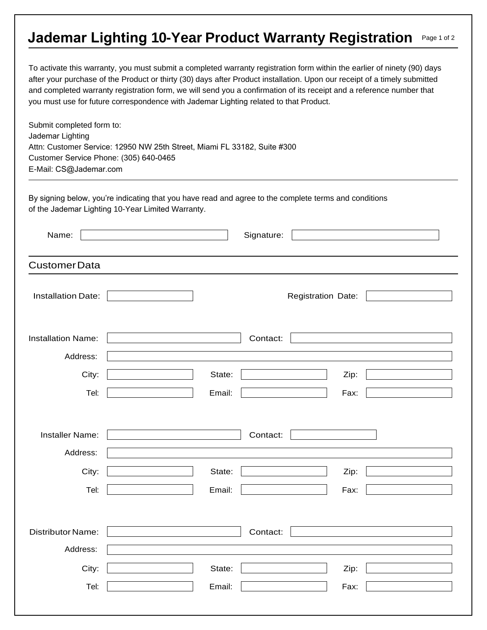## **Jademar Lighting 10-Year Product Warranty Registration Page 1 of 2**

To activate this warranty, you must submit a completed warranty registration form within the earlier of ninety (90) days after your purchase of the Product or thirty (30) days after Product installation. Upon our receipt of a timely submitted and completed warranty registration form, we will send you a confirmation of its receipt and a reference number that you must use for future correspondence with Jademar Lighting related to that Product.

Submit completed form to: Jademar Lighting Attn: Customer Service: 12950 NW 25th Street, Miami FL 33182, Suite #300 Customer Service Phone: (305) 640-0465 E-Mail: CS@J[ademar.com](mailto:cs@jademar.com)

By signing below, you're indicating that you have read and agree to the complete terms and conditions of the Jademar Lighting 10-Year Limited Warranty.

| Name:                                 | Signature:       |                    |  |
|---------------------------------------|------------------|--------------------|--|
| <b>CustomerData</b>                   |                  |                    |  |
| <b>Installation Date:</b>             |                  | Registration Date: |  |
| <b>Installation Name:</b><br>Address: | Contact:         |                    |  |
| City:<br>Tel:                         | State:<br>Email: | Zip:<br>Fax:       |  |
| Installer Name:<br>Address:           | Contact:         |                    |  |
| City:<br>Tel:                         | State:<br>Email: | Zip:<br>Fax:       |  |
| Distributor Name:<br>Address:         | Contact:         |                    |  |
| City:<br>Tel:                         | State:<br>Email: | Zip:<br>Fax:       |  |